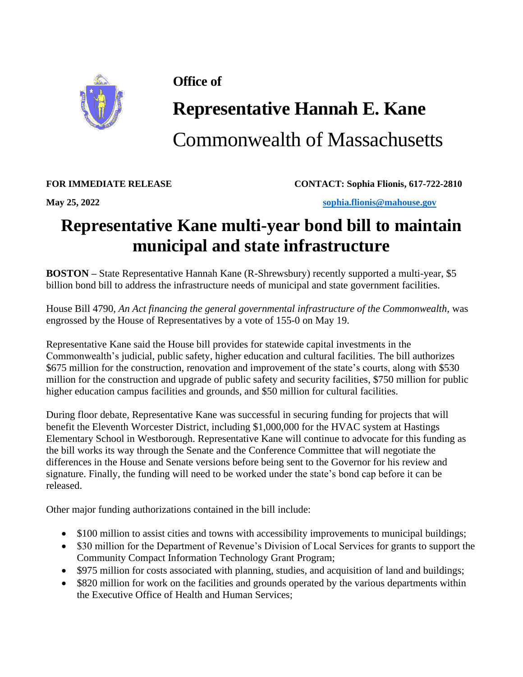

## **Office of**

## **Representative Hannah E. Kane**

Commonwealth of Massachusetts

**FOR IMMEDIATE RELEASE CONTACT: Sophia Flionis, 617-722-2810**

**May 25, 2022 [sophia.flionis@mahouse.gov](mailto:sophia.flionis@mahouse.gov)**

## **Representative Kane multi-year bond bill to maintain municipal and state infrastructure**

**BOSTON** – State Representative Hannah Kane (R-Shrewsbury) recently supported a multi-year, \$5 billion bond bill to address the infrastructure needs of municipal and state government facilities.

House Bill 4790, *An Act financing the general governmental infrastructure of the Commonwealth,* was engrossed by the House of Representatives by a vote of 155-0 on May 19.

Representative Kane said the House bill provides for statewide capital investments in the Commonwealth's judicial, public safety, higher education and cultural facilities. The bill authorizes \$675 million for the construction, renovation and improvement of the state's courts, along with \$530 million for the construction and upgrade of public safety and security facilities, \$750 million for public higher education campus facilities and grounds, and \$50 million for cultural facilities.

During floor debate, Representative Kane was successful in securing funding for projects that will benefit the Eleventh Worcester District, including \$1,000,000 for the HVAC system at Hastings Elementary School in Westborough. Representative Kane will continue to advocate for this funding as the bill works its way through the Senate and the Conference Committee that will negotiate the differences in the House and Senate versions before being sent to the Governor for his review and signature. Finally, the funding will need to be worked under the state's bond cap before it can be released.

Other major funding authorizations contained in the bill include:

- \$100 million to assist cities and towns with accessibility improvements to municipal buildings;
- \$30 million for the Department of Revenue's Division of Local Services for grants to support the Community Compact Information Technology Grant Program;
- \$975 million for costs associated with planning, studies, and acquisition of land and buildings;
- \$820 million for work on the facilities and grounds operated by the various departments within the Executive Office of Health and Human Services;